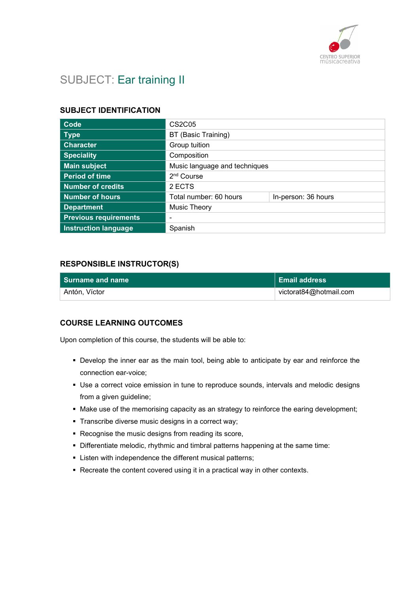

# SUBJECT: Ear training II

#### SUBJECT IDENTIFICATION

| Code                         | <b>CS2C05</b>                 |                     |
|------------------------------|-------------------------------|---------------------|
| <b>Type</b>                  | BT (Basic Training)           |                     |
| <b>Character</b>             | Group tuition                 |                     |
| <b>Speciality</b>            | Composition                   |                     |
| <b>Main subject</b>          | Music language and techniques |                     |
| <b>Period of time</b>        | 2 <sup>nd</sup> Course        |                     |
| <b>Number of credits</b>     | 2 ECTS                        |                     |
| <b>Number of hours</b>       | Total number: 60 hours        | In-person: 36 hours |
| <b>Department</b>            | Music Theory                  |                     |
| <b>Previous requirements</b> | -                             |                     |
| <b>Instruction language</b>  | Spanish                       |                     |

#### RESPONSIBLE INSTRUCTOR(S)

| l Surname and name | ∣ Email address        |
|--------------------|------------------------|
| Antón, Víctor      | victorat84@hotmail.com |

#### COURSE LEARNING OUTCOMES

Upon completion of this course, the students will be able to:

- Develop the inner ear as the main tool, being able to anticipate by ear and reinforce the connection ear-voice;
- Use a correct voice emission in tune to reproduce sounds, intervals and melodic designs from a given guideline;
- Make use of the memorising capacity as an strategy to reinforce the earing development;
- **Transcribe diverse music designs in a correct way;**
- Recognise the music designs from reading its score,
- Differentiate melodic, rhythmic and timbral patterns happening at the same time:
- **Example 1** Listen with independence the different musical patterns;
- Recreate the content covered using it in a practical way in other contexts.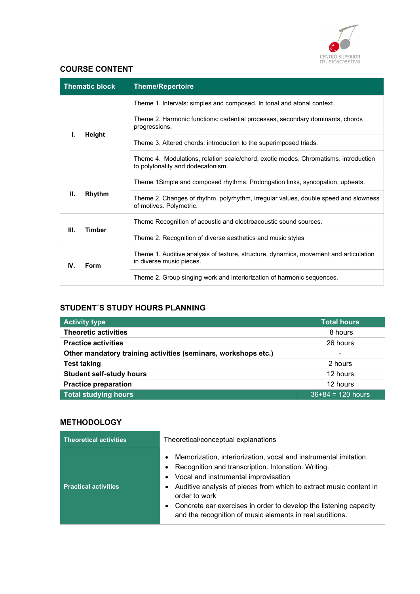

## COURSE CONTENT

|               | <b>Thematic block</b>                                       | <b>Theme/Repertoire</b>                                                                                                  |
|---------------|-------------------------------------------------------------|--------------------------------------------------------------------------------------------------------------------------|
|               | Height                                                      | Theme 1. Intervals: simples and composed. In tonal and atonal context.                                                   |
|               |                                                             | Theme 2. Harmonic functions: cadential processes, secondary dominants, chords<br>progressions.                           |
| L             |                                                             | Theme 3. Altered chords: introduction to the superimposed triads.                                                        |
|               |                                                             | Theme 4. Modulations, relation scale/chord, exotic modes. Chromatisms. introduction<br>to polytonality and dodecafonism. |
| Ш.            | Rhythm                                                      | Theme 1Simple and composed rhythms. Prolongation links, syncopation, upbeats.                                            |
|               |                                                             | Theme 2. Changes of rhythm, polyrhythm, irregular values, double speed and slowness<br>of motives. Polymetric.           |
| Ш.            |                                                             | Theme Recognition of acoustic and electroacoustic sound sources.                                                         |
| <b>Timber</b> | Theme 2. Recognition of diverse aesthetics and music styles |                                                                                                                          |
| IV.           | Form                                                        | Theme 1. Auditive analysis of texture, structure, dynamics, movement and articulation<br>in diverse music pieces.        |
|               |                                                             | Theme 2. Group singing work and interiorization of harmonic sequences.                                                   |

# STUDENT´S STUDY HOURS PLANNING

| <b>Activity type</b>                                           | <b>Total hours</b>       |
|----------------------------------------------------------------|--------------------------|
| <b>Theoretic activities</b>                                    | 8 hours                  |
| <b>Practice activities</b>                                     | 26 hours                 |
| Other mandatory training activities (seminars, workshops etc.) | $\overline{\phantom{a}}$ |
| <b>Test taking</b>                                             | 2 hours                  |
| <b>Student self-study hours</b>                                | 12 hours                 |
| <b>Practice preparation</b>                                    | 12 hours                 |
| <b>Total studying hours</b>                                    | $36+84 = 120$ hours      |

## **METHODOLOGY**

| <b>Theoretical activities</b> | Theoretical/conceptual explanations                                                                                                                                                                                                                                                                                                                                                                                            |  |
|-------------------------------|--------------------------------------------------------------------------------------------------------------------------------------------------------------------------------------------------------------------------------------------------------------------------------------------------------------------------------------------------------------------------------------------------------------------------------|--|
| <b>Practical activities</b>   | Memorization, interiorization, vocal and instrumental imitation.<br>$\bullet$<br>Recognition and transcription. Intonation. Writing.<br>Vocal and instrumental improvisation<br>$\bullet$<br>Auditive analysis of pieces from which to extract music content in<br>order to work<br>Concrete ear exercises in order to develop the listening capacity<br>$\bullet$<br>and the recognition of music elements in real auditions. |  |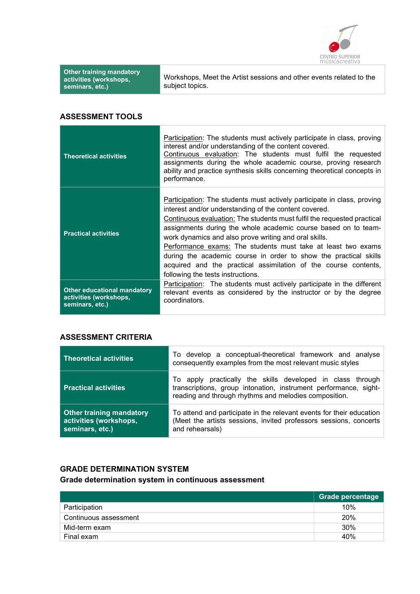

| <b>Other training mandatory</b><br>activities (workshops,<br>seminars, etc.) | Workshops, Meet the Artist sessions and other events related to the<br>subject topics.                                                                                                                                                                                                                                                                                                                                                                                                                                                                                             |
|------------------------------------------------------------------------------|------------------------------------------------------------------------------------------------------------------------------------------------------------------------------------------------------------------------------------------------------------------------------------------------------------------------------------------------------------------------------------------------------------------------------------------------------------------------------------------------------------------------------------------------------------------------------------|
| <b>ASSESSMENT TOOLS</b>                                                      |                                                                                                                                                                                                                                                                                                                                                                                                                                                                                                                                                                                    |
| <b>Theoretical activities</b>                                                | Participation: The students must actively participate in class, proving<br>interest and/or understanding of the content covered.<br>Continuous evaluation: The students must fulfil the requested<br>assignments during the whole academic course, proving research<br>ability and practice synthesis skills concerning theoretical concepts in<br>performance.                                                                                                                                                                                                                    |
| <b>Practical activities</b>                                                  | Participation: The students must actively participate in class, proving<br>interest and/or understanding of the content covered.<br>Continuous evaluation: The students must fulfil the requested practical<br>assignments during the whole academic course based on to team-<br>work dynamics and also prove writing and oral skills.<br>Performance exams: The students must take at least two exams<br>during the academic course in order to show the practical skills<br>acquired and the practical assimilation of the course contents,<br>following the tests instructions. |

Other educational mandatory activities (workshops, seminars, etc.) Participation: The students must actively participate in the different relevant events as considered by the instructor or by the degree coordinators.

#### ASSESSMENT CRITERIA

| <b>Theoretical activities</b>                                                | To develop a conceptual-theoretical framework and analyse<br>consequently examples from the most relevant music styles                                                                  |
|------------------------------------------------------------------------------|-----------------------------------------------------------------------------------------------------------------------------------------------------------------------------------------|
| <b>Practical activities</b>                                                  | To apply practically the skills developed in class through<br>transcriptions, group intonation, instrument performance, sight-<br>reading and through rhythms and melodies composition. |
| <b>Other training mandatory</b><br>activities (workshops,<br>seminars, etc.) | To attend and participate in the relevant events for their education<br>(Meet the artists sessions, invited professors sessions, concerts<br>and rehearsals)                            |

## GRADE DETERMINATION SYSTEM Grade determination system in continuous assessment

|                       | <b>Srade percentage</b> |
|-----------------------|-------------------------|
| Participation         | 10%                     |
| Continuous assessment | 20%                     |
| Mid-term exam         | 30%                     |
| Final exam            | 40%                     |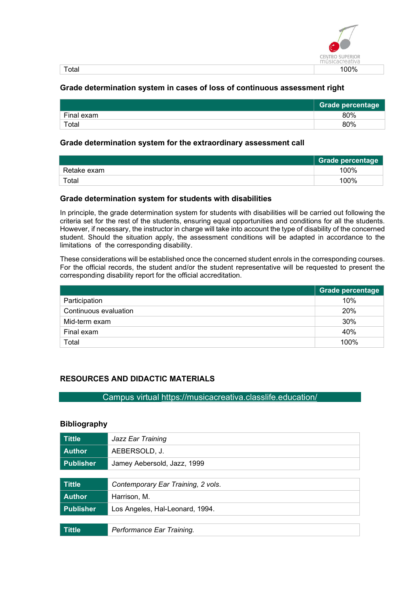

| $\sim$<br>. | - - -<br>70<br> |
|-------------|-----------------|

#### Grade determination system in cases of loss of continuous assessment right

|            | <b>Grade percentage</b> |
|------------|-------------------------|
| Final exam | 80%                     |
| Total      | 80%                     |

#### Grade determination system for the extraordinary assessment call

|             | <b>Grade percentage</b> |
|-------------|-------------------------|
| Retake exam | 100%                    |
| Total       | 100%                    |

#### Grade determination system for students with disabilities

In principle, the grade determination system for students with disabilities will be carried out following the criteria set for the rest of the students, ensuring equal opportunities and conditions for all the students. However, if necessary, the instructor in charge will take into account the type of disability of the concerned student. Should the situation apply, the assessment conditions will be adapted in accordance to the limitations of the corresponding disability.

These considerations will be established once the concerned student enrols in the corresponding courses. For the official records, the student and/or the student representative will be requested to present the corresponding disability report for the official accreditation.

|                       | Grade percentage |
|-----------------------|------------------|
| Participation         | 10%              |
| Continuous evaluation | 20%              |
| Mid-term exam         | 30%              |
| Final exam            | 40%              |
| Total                 | 100%             |

### RESOURCES AND DIDACTIC MATERIALS

#### Campus virtual https://musicacreativa.classlife.education/

#### Bibliography

| <b>Tittle</b>    | Jazz Ear Training                  |
|------------------|------------------------------------|
| <b>Author</b>    | AEBERSOLD, J.                      |
| <b>Publisher</b> | Jamey Aebersold, Jazz, 1999        |
|                  |                                    |
| <b>Tittle</b>    | Contemporary Ear Training, 2 vols. |
| <b>Author</b>    | Harrison, M.                       |
| <b>Publisher</b> | Los Angeles, Hal-Leonard, 1994.    |
|                  |                                    |
| <b>Tittle</b>    | Performance Ear Training.          |